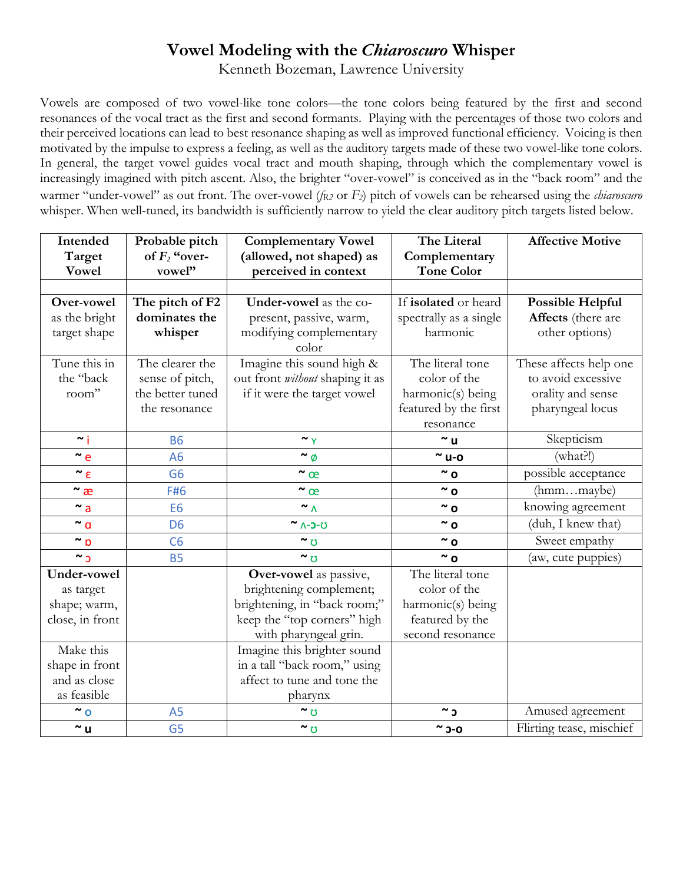## **Vowel Modeling with the** *Chiaroscuro* **Whisper**

Kenneth Bozeman, Lawrence University

Vowels are composed of two vowel-like tone colors—the tone colors being featured by the first and second resonances of the vocal tract as the first and second formants. Playing with the percentages of those two colors and their perceived locations can lead to best resonance shaping as well as improved functional efficiency. Voicing is then motivated by the impulse to express a feeling, as well as the auditory targets made of these two vowel-like tone colors. In general, the target vowel guides vocal tract and mouth shaping, through which the complementary vowel is increasingly imagined with pitch ascent. Also, the brighter "over-vowel" is conceived as in the "back room" and the warmer "under-vowel" as out front. The over-vowel (*fR2* or *F2*) pitch of vowels can be rehearsed using the *chiaroscuro* whisper. When well-tuned, its bandwidth is sufficiently narrow to yield the clear auditory pitch targets listed below.

| Intended           | Probable pitch   | <b>Complementary Vowel</b>             | The Literal            | <b>Affective Motive</b>  |
|--------------------|------------------|----------------------------------------|------------------------|--------------------------|
| Target             | of $F_2$ "over-  | (allowed, not shaped) as               | Complementary          |                          |
| <b>Vowel</b>       | vowel"           | perceived in context                   | <b>Tone Color</b>      |                          |
|                    |                  |                                        |                        |                          |
| Over-vowel         | The pitch of F2  | Under-vowel as the co-                 | If isolated or heard   | <b>Possible Helpful</b>  |
| as the bright      | dominates the    | present, passive, warm,                | spectrally as a single | Affects (there are       |
| target shape       | whisper          | modifying complementary                | harmonic               | other options)           |
|                    |                  | color                                  |                        |                          |
| Tune this in       | The clearer the  | Imagine this sound high &              | The literal tone       | These affects help one   |
| the "back          | sense of pitch,  | out front <i>without</i> shaping it as | color of the           | to avoid excessive       |
| room"              | the better tuned | if it were the target vowel            | harmonic(s) being      | orality and sense        |
|                    | the resonance    |                                        | featured by the first  | pharyngeal locus         |
|                    |                  |                                        | resonance              | Skepticism               |
| $\sim$ j           | <b>B6</b>        | $\sim$ Y                               | $\sim$ u               |                          |
| $\sim$ e           | A6               | $\sim \phi$                            | $\sim$ u-o             | $(\text{what?!})$        |
| $\sim \varepsilon$ | G <sub>6</sub>   | $\sim$ œ                               | $\sim$ 0               | possible acceptance      |
| $\sim$ æ           | F#6              | $\sim$ œ                               | $\sim$ 0               | (hmmmaybe)               |
| $\sim a$           | E <sub>6</sub>   | $\sim$ $\Lambda$                       | $\sim$ 0               | knowing agreement        |
| $\sim$ a           | D <sub>6</sub>   | ~ <b>^-0-0</b>                         | $\sim$ 0               | (duh, I knew that)       |
| $\sim$ p           | C6               | $\sim$ $\sigma$                        | $\sim$ 0               | Sweet empathy            |
| $\sim$ 3           | <b>B5</b>        | $\sim$ $\sigma$                        | $\sim$ 0               | (aw, cute puppies)       |
| Under-vowel        |                  | Over-vowel as passive,                 | The literal tone       |                          |
| as target          |                  | brightening complement;                | color of the           |                          |
| shape; warm,       |                  | brightening, in "back room;"           | harmonic(s) being      |                          |
| close, in front    |                  | keep the "top corners" high            | featured by the        |                          |
|                    |                  | with pharyngeal grin.                  | second resonance       |                          |
| Make this          |                  | Imagine this brighter sound            |                        |                          |
| shape in front     |                  | in a tall "back room," using           |                        |                          |
| and as close       |                  | affect to tune and tone the            |                        |                          |
| as feasible        |                  | pharynx                                |                        |                          |
| $\sim$ 0           | A <sub>5</sub>   | $\sim$ $\sigma$                        | $\sim$ כ               | Amused agreement         |
| $\sim$ u           | G <sub>5</sub>   | $\sim$ $\sigma$                        | $\sim$ 0-0             | Flirting tease, mischief |